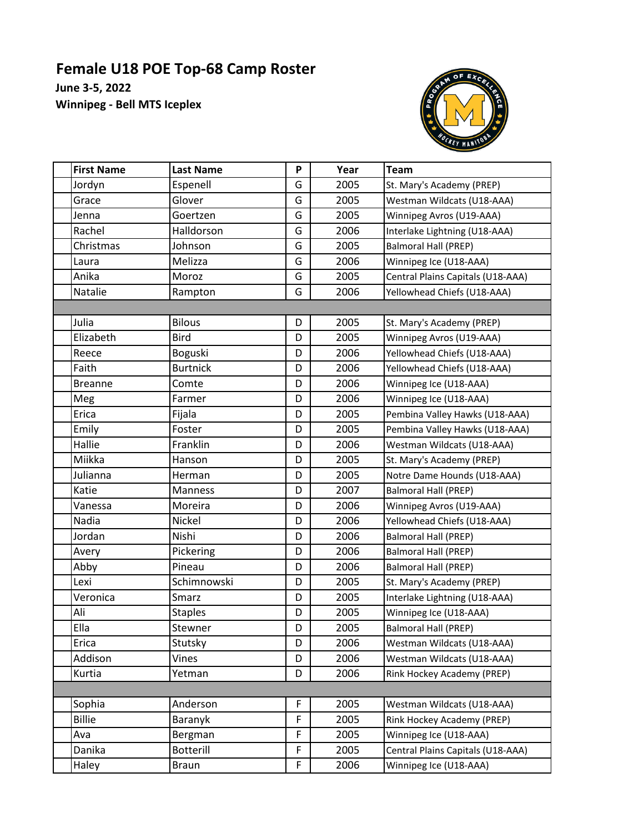## **Female U18 POE Top-68 Camp Roster**

**June 3-5, 2022 Winnipeg - Bell MTS Iceplex**



| <b>First Name</b> | <b>Last Name</b> | P           | Year | <b>Team</b>                       |  |  |  |  |
|-------------------|------------------|-------------|------|-----------------------------------|--|--|--|--|
| Jordyn            | Espenell         | G           | 2005 | St. Mary's Academy (PREP)         |  |  |  |  |
| Grace             | Glover           | G           | 2005 | Westman Wildcats (U18-AAA)        |  |  |  |  |
| Jenna             | Goertzen         | G           | 2005 | Winnipeg Avros (U19-AAA)          |  |  |  |  |
| Rachel            | Halldorson       | G           | 2006 | Interlake Lightning (U18-AAA)     |  |  |  |  |
| Christmas         | Johnson          | G           | 2005 | Balmoral Hall (PREP)              |  |  |  |  |
| Laura             | Melizza          | G           | 2006 | Winnipeg Ice (U18-AAA)            |  |  |  |  |
| Anika             | Moroz            | G           | 2005 | Central Plains Capitals (U18-AAA) |  |  |  |  |
| Natalie           | Rampton          | G           | 2006 | Yellowhead Chiefs (U18-AAA)       |  |  |  |  |
|                   |                  |             |      |                                   |  |  |  |  |
| Julia             | <b>Bilous</b>    | D           | 2005 | St. Mary's Academy (PREP)         |  |  |  |  |
| Elizabeth         | <b>Bird</b>      | D           | 2005 | Winnipeg Avros (U19-AAA)          |  |  |  |  |
| Reece             | Boguski          | D           | 2006 | Yellowhead Chiefs (U18-AAA)       |  |  |  |  |
| Faith             | <b>Burtnick</b>  | D           | 2006 | Yellowhead Chiefs (U18-AAA)       |  |  |  |  |
| <b>Breanne</b>    | Comte            | D           | 2006 | Winnipeg Ice (U18-AAA)            |  |  |  |  |
| Meg               | Farmer           | D           | 2006 | Winnipeg Ice (U18-AAA)            |  |  |  |  |
| Erica             | Fijala           | D           | 2005 | Pembina Valley Hawks (U18-AAA)    |  |  |  |  |
| Emily             | Foster           | D           | 2005 | Pembina Valley Hawks (U18-AAA)    |  |  |  |  |
| Hallie            | Franklin         | D           | 2006 | Westman Wildcats (U18-AAA)        |  |  |  |  |
| Miikka            | Hanson           | D           | 2005 | St. Mary's Academy (PREP)         |  |  |  |  |
| Julianna          | Herman           | D           | 2005 | Notre Dame Hounds (U18-AAA)       |  |  |  |  |
| Katie             | Manness          | D           | 2007 | <b>Balmoral Hall (PREP)</b>       |  |  |  |  |
| Vanessa           | Moreira          | D           | 2006 | Winnipeg Avros (U19-AAA)          |  |  |  |  |
| Nadia             | Nickel           | D           | 2006 | Yellowhead Chiefs (U18-AAA)       |  |  |  |  |
| Jordan            | Nishi            | D           | 2006 | <b>Balmoral Hall (PREP)</b>       |  |  |  |  |
| Avery             | <b>Pickering</b> | D           | 2006 | <b>Balmoral Hall (PREP)</b>       |  |  |  |  |
| Abby              | Pineau           | D           | 2006 | Balmoral Hall (PREP)              |  |  |  |  |
| Lexi              | Schimnowski      | D           | 2005 | St. Mary's Academy (PREP)         |  |  |  |  |
| Veronica          | Smarz            | D           | 2005 | Interlake Lightning (U18-AAA)     |  |  |  |  |
| Ali               | <b>Staples</b>   | D           | 2005 | Winnipeg Ice (U18-AAA)            |  |  |  |  |
| Ella              | Stewner          | D           | 2005 | <b>Balmoral Hall (PREP)</b>       |  |  |  |  |
| Erica             | Stutsky          | D           | 2006 | Westman Wildcats (U18-AAA)        |  |  |  |  |
| Addison           | Vines            | D           | 2006 | Westman Wildcats (U18-AAA)        |  |  |  |  |
| Kurtia            | Yetman           | D           | 2006 | Rink Hockey Academy (PREP)        |  |  |  |  |
|                   |                  |             |      |                                   |  |  |  |  |
| Sophia            | Anderson         | F           | 2005 | Westman Wildcats (U18-AAA)        |  |  |  |  |
| <b>Billie</b>     | Baranyk          | $\mathsf F$ | 2005 | Rink Hockey Academy (PREP)        |  |  |  |  |
| Ava               | Bergman          | F           | 2005 | Winnipeg Ice (U18-AAA)            |  |  |  |  |
| Danika            | <b>Botterill</b> | F           | 2005 | Central Plains Capitals (U18-AAA) |  |  |  |  |
| Haley             | <b>Braun</b>     | F           | 2006 | Winnipeg Ice (U18-AAA)            |  |  |  |  |